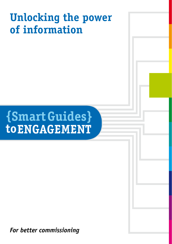# **Unlocking the power of information**

# **{Smart Guides} to ENGAGEMENT**

*For better commissioning*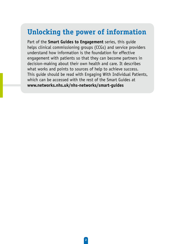### **Unlocking the power of information**

Part of the **Smart Guides to Engagement** series, this guide helps clinical commissioning groups (CCGs) and service providers understand how information is the foundation for effective engagement with patients so that they can become partners in decision-making about their own health and care. It describes what works and points to sources of help to achieve success. This guide should be read with Engaging With Individual Patients, which can be accessed with the rest of the Smart Guides at **www.networks.nhs.uk/nhs-networks/smart-guides**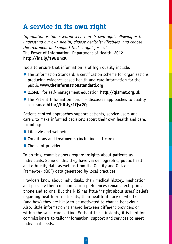## **A service in its own right**

*Information is "an essential service in its own right, allowing us to understand our own health, choose healthier lifestyles, and choose the treatment and support that is right for us."*  The Power of Information, Department of Health, 2012 **http://bit.ly/198UhxK**

Tools to ensure that information is of high quality include:

- The Information Standard, a certification scheme for organisations producing evidence-based health and care information for the public **www.theinformationstandard.org**
- **QISMET for self-management education http://gismet.org.uk**
- $\bullet$  The Patient Information Forum discusses approaches to quality assurance **http://bit.ly/1fjsr2Q**

Patient-centred approaches support patients, service users and carers to make informed decisions about their own health and care, including:

- $\bullet$  Lifestyle and wellbeing
- Conditions and treatments (including self-care)
- $\bullet$  Choice of provider.

To do this, commissioners require insights about patients as individuals. Some of this they have via demographic, public health and ethnicity data as well as from the Quality and Outcomes Framework (QOF) data generated by local practices.

Providers know about individuals, their medical history, medication and possibly their communication preferences (email, text, print, phone and so on). But the NHS has little insight about users' beliefs regarding health or treatments, their health literacy or whether (and how) they are likely to be motivated to change behaviour. Also, little information is shared between different providers or within the same care setting. Without these insights, it is hard for commissioners to tailor information, support and services to meet individual needs.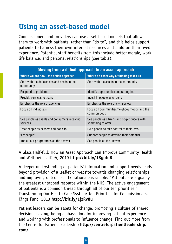# **Using an asset-based model**

Commissioners and providers can use asset-based models that allow them to work with patients, rather than "do to", and this helps support patients to harness their own internal resources and build on their lived experience. Potential staff benefits from this include better morale, worklife balance, and personal relationships (see table).

| Moving from a deficit approach to an asset approach       |                                                                    |
|-----------------------------------------------------------|--------------------------------------------------------------------|
| Where we are now - the deficit approach                   | Where an asset way of thinking takes us                            |
| Start with the deficiencies and needs in the<br>community | Start with the assets in the community                             |
| Respond to problems                                       | Identify opportunities and strengths                               |
| Provide services to users                                 | Invest in people as citizens                                       |
| Emphasise the role of agencies                            | Emphasise the role of civil society                                |
| Focus on individuals                                      | Focus on communities/neighbourhoods and the<br>common good         |
| See people as clients and consumers receiving<br>services | See people as citizens and co-producers with<br>something to offer |
| Treat people as passive and done-to                       | Help people to take control of their lives                         |
| 'Fix people'                                              | Support people to develop their potential                          |
| Implement programmes as the answer                        | See people as the answer                                           |

A Glass Half-full: How an Asset Approach Can Improve Community Health and Well-being, IDeA, 2010 **http://bit.ly/18gpfoR**

A deeper understanding of patients' information and support needs leads beyond provision of a leaflet or website towards changing relationships and improving outcomes. The rationale is simple: "Patients are arguably the greatest untapped resource within the NHS. The active engagement of patients is a common thread through all of our ten priorities." Transforming Our Health Care System: Ten Priorities for Commissioners, Kings Fund, 2013 **http://bit.ly/1jzRv8u**

Patient leaders can be assets for change, promoting a culture of shared decision-making, being ambassadors for improving patient experience and working with professionals to influence change. Find out more from the Centre for Patient Leadership **http://centreforpatientleadership. com/**

4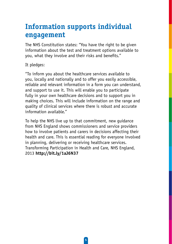### **Information supports individual engagement**

The NHS Constitution states: "You have the right to be given information about the test and treatment options available to you, what they involve and their risks and benefits."

It pledges:

"To inform you about the healthcare services available to you, locally and nationally and to offer you easily accessible, reliable and relevant information in a form you can understand, and support to use it. This will enable you to participate fully in your own healthcare decisions and to support you in making choices. This will include information on the range and quality of clinical services where there is robust and accurate information available."

To help the NHS live up to that commitment, new guidance from NHS England shows commissioners and service providers how to involve patients and carers in decisions affecting their health and care. This is essential reading for everyone involved in planning, delivering or receiving healthcare services. Transforming Participation in Health and Care, NHS England, 2013 **http://bit.ly/1aJ6N37**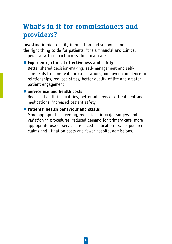### **What's in it for commissioners and providers?**

Investing in high quality information and support is not just the right thing to do for patients, it is a financial and clinical imperative with impact across three main areas:

 $\bullet$  **Experience, clinical effectiveness and safety** Better shared decision-making, self-management and selfcare leads to more realistic expectations, improved confidence in relationships, reduced stress, better quality of life and greater patient engagement

#### **C** Service use and health costs

Reduced health inequalities, better adherence to treatment and medications, increased patient safety

#### **• Patients' health behaviour and status**

More appropriate screening, reductions in major surgery and variation in procedures, reduced demand for primary care, more appropriate use of services, reduced medical errors, malpractice claims and litigation costs and fewer hospital admissions.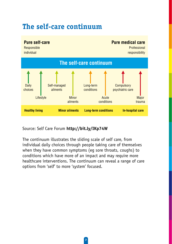## **The self-care continuum**



Source: Self Care Forum **http://bit.ly/IKp74W**

The continuum illustrates the sliding scale of self care, from individual daily choices through people taking care of themselves when they have common symptoms (eg sore throats, coughs) to conditions which have more of an impact and may require more healthcare interventions. The continuum can reveal a range of care options from 'self' to more 'system' focused.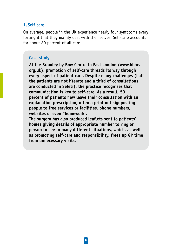#### **1. Self care**

On average, people in the UK experience nearly four symptoms every fortnight that they mainly deal with themselves. Self-care accounts for about 80 percent of all care.

#### **Case study**

**At the Bromley by Bow Centre in East London (www.bbbc. org.uk), promotion of self-care threads its way through every aspect of patient care. Despite many challenges (half the patients are not literate and a third of consultations are conducted in Seleti), the practice recognises that communication is key to self-care. As a result, 50 percent of patients now leave their consultation with an explanation prescription, often a print out signposting people to free services or facilities, phone numbers, websites or even "homework".** 

**The surgery has also produced leaflets sent to patients' homes giving details of appropriate number to ring or person to see in many different situations, which, as well as promoting self-care and responsibility, frees up GP time from unnecessary visits.**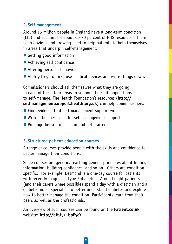#### **2. Self management**

Around 15 million people in England have a long-term condition (LTC) and account for about 60-70 percent of NHS resources. There is an obvious and growing need to help patients to help themselves in areas that underpin self-management:

- Getting good information
- $\bullet$  Achieving self confidence
- $\bullet$  Altering personal behaviour
- Ability to go online, use medical devices and write things down.

Commissioners should ask themselves what they are going in each of these four areas to support their LTC populations to self-manage. The Health Foundation's resources (**http:// selfmanagementsupport.health.org.uk**) can help commissioners:

- $\bullet$  Find evidence that self-management support works
- $\bullet$  Write a business case for self-management support
- Put together a project plan and get started.

#### **3. Structured patient education courses**

A range of courses provide people with the skills and confidence to better manage their conditions.

Some courses are generic, teaching general principles about finding information, building confidence, and so on. Others are conditionspecific. For example, Desmond is a one-day course for patients with recently diagnosed type 2 diabetes. Around eight patients (and their carers where possible) spend a day with a dietician and a diabetes nurse specialist to better understand diabetes and explore how to better manage the condition. Participants learn from their peers as well as the professionals.

An overview of such courses can be found on the **Patient.co.uk**  website: **http://bit.ly/1bpEycY**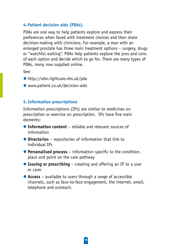#### **4. Patient decision aids (PDAs)**

PDAs are one way to help patients explore and express their preferences when faced with treatment choices and then share decision-making with clinicians. For example, a man with an enlarged prostate has three main treatment options – surgery, drugs or "watchful waiting". PDAs help patients explore the pros and cons of each option and decide which to go for. There are many types of PDAs, many now supplied online.

See:

- $\bullet$  http://sdm.rightcare.nhs.uk/pda
- $\bullet$  www.patient.co.uk/decision-aids

#### **5.Information prescriptions**

Information prescriptions (IPs) are similar to medicines on prescription or exercise on prescription. IPs have five main elements:

- **The Information content** reliable and relevant sources of information
- **O** Directories repositories of information that link to individual IPs
- **Personalised process** information specific to the condition, place and point on the care pathway
- **Issuing or prescribing** creating and offering an IP to a user or carer
- **Access** available to users through a range of accessible channels, such as face-to-face engagement, the internet, email, telephone and outreach.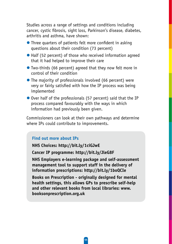Studies across a range of settings and conditions including cancer, cystic fibrosis, sight loss, Parkinson's disease, diabetes, arthritis and asthma, have shown:

- $\bullet$  Three quarters of patients felt more confident in asking questions about their condition (73 percent)
- Half (52 percent) of those who received information agreed that it had helped to improve their care
- $\bullet$  Two-thirds (66 percent) agreed that they now felt more in control of their condition
- $\bullet$  The majority of professionals involved (66 percent) were very or fairly satisfied with how the IP process was being implemented
- $\bullet$  Over half of the professionals (57 percent) said that the IP process compared favourably with the ways in which information had previously been given.

Commissioners can look at their own pathways and determine where IPs could contribute to improvements.

#### **Find out more about IPs**

**NHS Choices: http://bit.ly/1ciGJwE**

**Cancer IP programme: http://bit.ly/JleG8F**

**NHS Employers e-learning package and self-assessment management tool to support staff in the delivery of information prescriptions: http://bit.ly/1boQCIe**

**Books on Prescription - originally designed for mental health settings, this allows GPs to prescribe self-help and other relevant books from local libraries: www. booksonprescription.org.uk**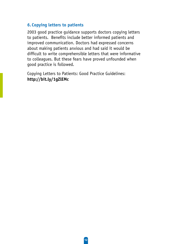#### **6. Copying letters to patients**

2003 good practice guidance supports doctors copying letters to patients. Benefits include better informed patients and improved communication. Doctors had expressed concerns about making patients anxious and had said it would be difficult to write comprehensible letters that were informative to colleagues. But these fears have proved unfounded when good practice is followed.

Copying Letters to Patients: Good Practice Guidelines: **http://bit.ly/1gZlEMc**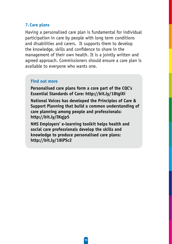#### **7. Care plans**

Having a personalised care plan is fundamental for individual participation in care by people with long term conditions and disabilities and carers. It supports them to develop the knowledge, skills and confidence to share in the management of their own health. It is a jointly written and agreed approach. Commissioners should ensure a care plan is available to everyone who wants one.

#### **Find out more**

**Personalised care plans form a core part of the CQC's Essential Standards of Care: http://bit.ly/18tgiXi**

**National Voices has developed the Principles of Care & Support Planning that build a common understanding of care planning among people and professionals: http://bit.ly/IKqjp5** 

**NHS Employers' e-learning toolkit helps health and social care professionals develop the skills and knowledge to produce personalised care plans: http://bit.ly/18lPSc2**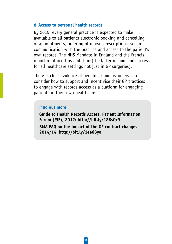#### **8.Access to personal health records**

By 2015, every general practice is expected to make available to all patients electronic booking and cancelling of appointments, ordering of repeat prescriptions, secure communication with the practice and access to the patient's own records. The NHS Mandate in England and the Francis report reinforce this ambition (the latter recommends access for all healthcare settings not just in GP surgeries).

There is clear evidence of benefits. Commissioners can consider how to support and incentivise their GP practices to engage with records access as a platform for engaging patients in their own healthcare.

#### **Find out more**

**Guide to Health Records Access, Patient Information Forum (PiF), 2012: http://bit.ly/18BsQc9**

**BMA FAQ on the impact of the GP contract changes 2014/14: http://bit.ly/1ee68yo**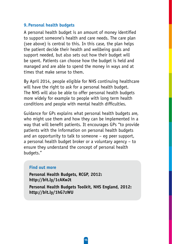#### **9. Personal health budgets**

A personal health budget is an amount of money identified to support someone's health and care needs. The care plan (see above) is central to this. In this case, the plan helps the patient decide their health and wellbeing goals and support needed, but also sets out how their budget will be spent. Patients can choose how the budget is held and managed and are able to spend the money in ways and at times that make sense to them.

By April 2014, people eligible for NHS continuing healthcare will have the right to ask for a personal health budget. The NHS will also be able to offer personal health budgets more widely for example to people with long term health conditions and people with mental health difficulties.

Guidance for GPs explains what personal health budgets are, who might use them and how they can be implemented in a way that will benefit patients. It encourages GPs "to provide patients with the information on personal health budgets and an opportunity to talk to someone – eg peer support, a personal health budget broker or a voluntary agency – to ensure they understand the concept of personal health budgets."

#### **Find out more**

**Personal Health Budgets, RCGP, 2012: http://bit.ly/1cAKwJt**

**Personal Health Budgets Toolkit, NHS England, 2012: http://bit.ly/1hG7zWU**